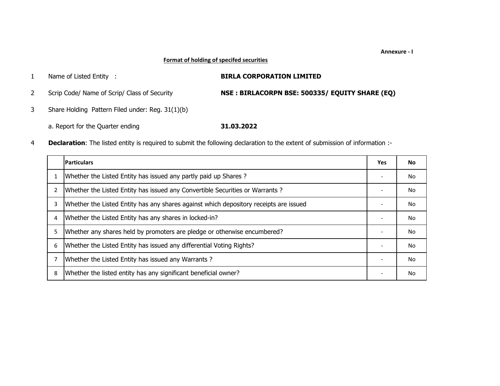## **Format of holding of specifed securities**

| Name of Listed Entity :                          | <b>BIRLA CORPORATION LIMITED</b>               |
|--------------------------------------------------|------------------------------------------------|
| Scrip Code/ Name of Scrip/ Class of Security     | NSE: BIRLACORPN BSE: 500335/ EQUITY SHARE (EQ) |
| Share Holding Pattern Filed under: Reg. 31(1)(b) |                                                |
| a. Report for the Quarter ending                 | 31.03.2022                                     |

4**Declaration**: The listed entity is required to submit the following declaration to the extent of submission of information :-

|                | <b>Particulars</b>                                                                    | Yes                      | No. |
|----------------|---------------------------------------------------------------------------------------|--------------------------|-----|
|                | Whether the Listed Entity has issued any partly paid up Shares?                       |                          | No  |
| $\overline{2}$ | Whether the Listed Entity has issued any Convertible Securities or Warrants?          | $\overline{\phantom{a}}$ | No  |
|                | Whether the Listed Entity has any shares against which depository receipts are issued |                          | No  |
| 4              | Whether the Listed Entity has any shares in locked-in?                                |                          | No. |
| 5.             | Whether any shares held by promoters are pledge or otherwise encumbered?              |                          | No. |
| 6              | Whether the Listed Entity has issued any differential Voting Rights?                  |                          | No  |
|                | Whether the Listed Entity has issued any Warrants?                                    |                          | No  |
| 8              | Whether the listed entity has any significant beneficial owner?                       |                          | No  |

## **Annexure ‐ I**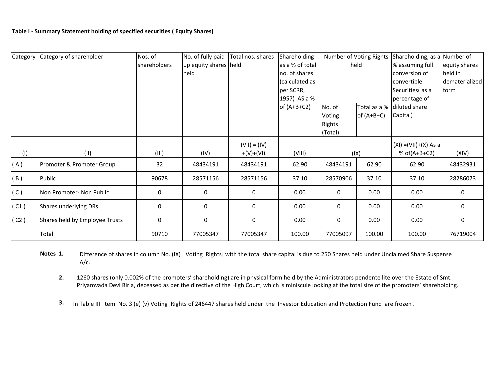| Category | Category of shareholder        | Nos. of      | No. of fully paid     | Total nos. shares | Shareholding    |               | Number of Voting Rights | Shareholding, as a Number of |                |
|----------|--------------------------------|--------------|-----------------------|-------------------|-----------------|---------------|-------------------------|------------------------------|----------------|
|          |                                | shareholders | up equity shares held |                   | as a % of total |               | held                    | % assuming full              | equity shares  |
|          |                                |              | held                  |                   | no. of shares   |               |                         | conversion of                | held in        |
|          |                                |              |                       |                   | (calculated as  |               |                         | convertible                  | dematerialized |
|          |                                |              |                       |                   | per SCRR,       |               |                         | Securities (as a             | form           |
|          |                                |              |                       |                   | 1957) AS a %    |               |                         | percentage of                |                |
|          |                                |              |                       |                   | of $(A+B+C2)$   | No. of        | Total as a %            | diluted share                |                |
|          |                                |              |                       |                   |                 | Voting        | of $(A+B+C)$            | Capital)                     |                |
|          |                                |              |                       |                   |                 | <b>Rights</b> |                         |                              |                |
|          |                                |              |                       |                   |                 | (Total)       |                         |                              |                |
|          |                                |              |                       | $(VII) = (IV)$    |                 |               |                         | $(XI) = (VII)+(X) As a$      |                |
| (1)      | (II)                           | (III)        | (IV)                  | $+(V)+(V)$        | (VIII)          |               | (IX)                    | % of $(A+B+C2)$              | (XIV)          |
| (A)      | Promoter & Promoter Group      | 32           | 48434191              | 48434191          | 62.90           | 48434191      | 62.90                   | 62.90                        | 48432931       |
| (B)      | Public                         | 90678        | 28571156              | 28571156          | 37.10           | 28570906      | 37.10                   | 37.10                        | 28286073       |
| (C)      | Non Promoter- Non Public       | 0            | 0                     | 0                 | 0.00            | 0             | 0.00                    | 0.00                         | 0              |
| (C1)     | Shares underlying DRs          | 0            | 0                     | 0                 | 0.00            | 0             | 0.00                    | 0.00                         | 0              |
| (C2)     | Shares held by Employee Trusts | 0            | 0                     | 0                 | 0.00            | 0             | 0.00                    | 0.00                         | 0              |
|          | Total                          | 90710        | 77005347              | 77005347          | 100.00          | 77005097      | 100.00                  | 100.00                       | 76719004       |

**Notes 1.** Difference of shares in column No. (IX) [ Voting Rights] with the total share capital is due to 250 Shares held under Unclaimed Share Suspense A/c.

**2.**1260 shares (only 0.002% of the promoters' shareholding) are in physical form held by the Administrators pendente lite over the Estate of Smt. Priyamvada Devi Birla, deceased as per the directive of the High Court, which is miniscule looking at the total size of the promoters' shareholding.

**3.** In Table III Item No. 3 (e) (v) Voting Rights of 246447 shares held under the Investor Education and Protection Fund are frozen .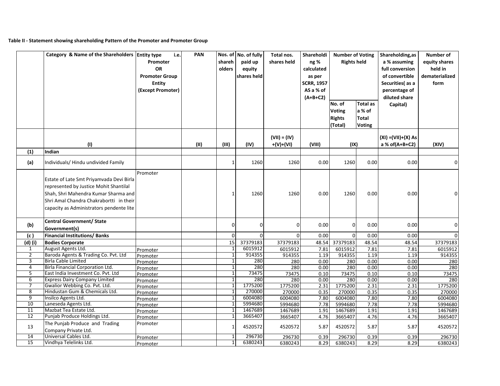## **Table II ‐ Statement showing shareholding Pattern of the Promoter and Promoter Group**

|                 | Category & Name of the Shareholders Entity type                                                                                                                                                                   | Promoter<br><b>OR</b><br><b>Promoter Group</b><br><b>Entity</b><br>(Except Promoter) |      | Nos. of No. of fully<br><b>PAN</b><br>Total nos.<br>i.e.<br>Shareholdi<br>shareh<br>paid up<br><b>Rights held</b><br>shares held<br>ng %<br>olders<br>equity<br>calculated<br>shares held<br>as per<br><b>SCRR, 1957</b><br>AS a % of<br>$(A+B+C2)$<br>No. of<br>a % of<br><b>Voting</b><br>Total<br><b>Rights</b><br>(Total)<br><b>Voting</b> |              |                | <b>Number of Voting</b><br><b>Total as</b> |                | Shareholding, as<br>a % assuming<br>full conversion<br>of convertible<br>Securities(as a<br>percentage of<br>diluted share<br>Capital) | Number of<br>equity shares<br>held in<br>dematerialized<br>form |                |
|-----------------|-------------------------------------------------------------------------------------------------------------------------------------------------------------------------------------------------------------------|--------------------------------------------------------------------------------------|------|------------------------------------------------------------------------------------------------------------------------------------------------------------------------------------------------------------------------------------------------------------------------------------------------------------------------------------------------|--------------|----------------|--------------------------------------------|----------------|----------------------------------------------------------------------------------------------------------------------------------------|-----------------------------------------------------------------|----------------|
|                 |                                                                                                                                                                                                                   |                                                                                      |      |                                                                                                                                                                                                                                                                                                                                                |              | $(VII) = (IV)$ |                                            |                |                                                                                                                                        | $(XI) = (VII)+(X) As$                                           |                |
|                 | (1)                                                                                                                                                                                                               |                                                                                      | (11) | (III)                                                                                                                                                                                                                                                                                                                                          | (IV)         | $+(V)+(VI)$    | (VIII)                                     | (IX)           |                                                                                                                                        | a % of(A+B+C2)                                                  | (XIV)          |
| (1)             | Indian                                                                                                                                                                                                            |                                                                                      |      |                                                                                                                                                                                                                                                                                                                                                |              |                |                                            |                |                                                                                                                                        |                                                                 |                |
| (a)             | Individuals/ Hindu undivided Family                                                                                                                                                                               |                                                                                      |      | 1                                                                                                                                                                                                                                                                                                                                              | 1260         | 1260           | 0.00                                       | 1260           | 0.00                                                                                                                                   | 0.00                                                            | $\overline{0}$ |
|                 | Estate of Late Smt Priyamvada Devi Birla<br>represented by Justice Mohit Shantilal<br>Shah, Shri Mahendra Kumar Sharma and<br>Shri Amal Chandra Chakrabortti in their<br>capacity as Administrators pendente lite | Promoter                                                                             |      | $\mathbf{1}$                                                                                                                                                                                                                                                                                                                                   | 1260         | 1260           | 0.00                                       | 1260           | 0.00                                                                                                                                   | 0.00                                                            |                |
| (b)             | <b>Central Government/ State</b><br>Government(s)                                                                                                                                                                 |                                                                                      |      | $\mathbf 0$                                                                                                                                                                                                                                                                                                                                    | 0            | $\overline{0}$ | 0.00                                       | $\overline{0}$ | 0.00                                                                                                                                   | 0.00                                                            | $\overline{0}$ |
| (c)             | <b>Financial Institutions/Banks</b>                                                                                                                                                                               |                                                                                      |      | $\Omega$                                                                                                                                                                                                                                                                                                                                       | $\Omega$     | $\Omega$       | 0.00                                       | $\Omega$       | 0.00                                                                                                                                   | 0.00                                                            | $\overline{0}$ |
| $(d)$ (i)       | <b>Bodies Corporate</b>                                                                                                                                                                                           |                                                                                      |      | 15                                                                                                                                                                                                                                                                                                                                             | 37379183     | 37379183       | 48.54                                      | 37379183       | 48.54                                                                                                                                  | 48.54                                                           | 37379183       |
| 1               | August Agents Ltd.                                                                                                                                                                                                | Promoter                                                                             |      | 1                                                                                                                                                                                                                                                                                                                                              | 6015912      | 6015912        | 7.81                                       | 6015912        | 7.81                                                                                                                                   | 7.81                                                            | 6015912        |
| $\overline{2}$  | Baroda Agents & Trading Co. Pvt. Ltd                                                                                                                                                                              | Promoter                                                                             |      | $1\overline{ }$                                                                                                                                                                                                                                                                                                                                | 914355       | 914355         | 1.19                                       | 914355         | 1.19                                                                                                                                   | 1.19                                                            | 914355         |
| 3               | <b>Birla Cable Limited</b>                                                                                                                                                                                        | Promoter                                                                             |      | $1\overline{ }$                                                                                                                                                                                                                                                                                                                                | 280          | 280            | 0.00                                       | 280            | 0.00                                                                                                                                   | 0.00                                                            | 280            |
| 4<br>5          | Birla Financial Corporation Ltd.<br>East India Investment Co. Pvt. Ltd                                                                                                                                            | Promoter                                                                             |      | $1\overline{ }$<br>1                                                                                                                                                                                                                                                                                                                           | 280<br>73475 | 280<br>73475   | 0.00<br>0.10                               | 280<br>73475   | 0.00<br>0.10                                                                                                                           | 0.00<br>0.10                                                    | 280<br>73475   |
| 6               | <b>Express Dairy Company Limited</b>                                                                                                                                                                              | Promoter<br>Promoter                                                                 |      | $\overline{1}$                                                                                                                                                                                                                                                                                                                                 | 280          | 280            | 0.00                                       | 280            | 0.00                                                                                                                                   | 0.00                                                            | 280            |
| 7               | Gwalior Webbing Co. Pvt. Ltd.                                                                                                                                                                                     | Promoter                                                                             |      | $1\overline{ }$                                                                                                                                                                                                                                                                                                                                | 1775200      | 1775200        | 2.31                                       | 1775200        | 2.31                                                                                                                                   | 2.31                                                            | 1775200        |
| 8               | Hindustan Gum & Chemicals Ltd.                                                                                                                                                                                    | Promoter                                                                             |      | $\mathbf{1}$                                                                                                                                                                                                                                                                                                                                   | 270000       | 270000         | 0.35                                       | 270000         | 0.35                                                                                                                                   | 0.35                                                            | 270000         |
| $\overline{9}$  | Insilco Agents Ltd.                                                                                                                                                                                               | Promoter                                                                             |      | $\overline{1}$                                                                                                                                                                                                                                                                                                                                 | 6004080      | 6004080        | 7.80                                       | 6004080        | 7.80                                                                                                                                   | 7.80                                                            | 6004080        |
| 10              | Laneseda Agents Ltd.                                                                                                                                                                                              | Promoter                                                                             |      |                                                                                                                                                                                                                                                                                                                                                | 5994680      | 5994680        | 7.78                                       | 5994680        | 7.78                                                                                                                                   | 7.78                                                            | 5994680        |
| 11              | Mazbat Tea Estate Ltd.                                                                                                                                                                                            | Promoter                                                                             |      | $\mathbf{1}$                                                                                                                                                                                                                                                                                                                                   | 1467689      | 1467689        | 1.91                                       | 1467689        | 1.91                                                                                                                                   | 1.91                                                            | 1467689        |
| 12              | Punjab Produce Holdings Ltd.                                                                                                                                                                                      | Promoter                                                                             |      |                                                                                                                                                                                                                                                                                                                                                | 3665407      | 3665407        | 4.76                                       | 3665407        | 4.76                                                                                                                                   | 4.76                                                            | 3665407        |
| 13              | The Punjab Produce and Trading<br>Company Private Ltd.                                                                                                                                                            | Promoter                                                                             |      | 1                                                                                                                                                                                                                                                                                                                                              | 4520572      | 4520572        | 5.87                                       | 4520572        | 5.87                                                                                                                                   | 5.87                                                            | 4520572        |
| 14              | Universal Cables Ltd.                                                                                                                                                                                             | Promoter                                                                             |      | 1                                                                                                                                                                                                                                                                                                                                              | 296730       | 296730         | 0.39                                       | 296730         | 0.39                                                                                                                                   | 0.39                                                            | 296730         |
| $\overline{15}$ | Vindhya Telelinks Ltd.                                                                                                                                                                                            | Promoter                                                                             |      | $1\vert$                                                                                                                                                                                                                                                                                                                                       | 6380243      | 6380243        | 8.29                                       | 6380243        | 8.29                                                                                                                                   | 8.29                                                            | 6380243        |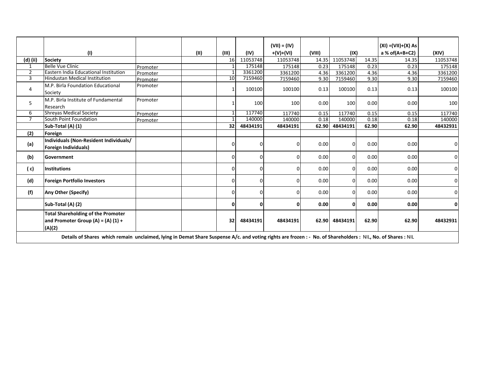|                | (1)                                                                                                                                                       |          | (II) | (III)    | (IV)     | $(VII) = (IV)$<br>$+(V)+(VI)$ | (VIII) | (IX)     |       | $(XI) = (VII)+(X) As$<br>a % of(A+B+C2) | (XIV)        |
|----------------|-----------------------------------------------------------------------------------------------------------------------------------------------------------|----------|------|----------|----------|-------------------------------|--------|----------|-------|-----------------------------------------|--------------|
| (d) (ii)       | Society                                                                                                                                                   |          |      | 16       | 11053748 | 11053748                      | 14.35  | 11053748 | 14.35 | 14.35                                   | 11053748     |
|                | <b>Belle Vue Clinic</b>                                                                                                                                   | Promoter |      |          | 175148   | 175148                        | 0.23   | 175148   | 0.23  | 0.23                                    | 175148       |
| $\overline{2}$ | Eastern India Educational Institution                                                                                                                     | Promoter |      | -1       | 3361200  | 3361200                       | 4.36   | 3361200  | 4.36  | 4.36                                    | 3361200      |
| 3              | <b>Hindustan Medical Institution</b>                                                                                                                      | Promoter |      | 10       | 7159460  | 7159460                       | 9.30   | 7159460  | 9.30  | 9.30                                    | 7159460      |
| 4              | M.P. Birla Foundation Educational<br>Society                                                                                                              | Promoter |      |          | 100100   | 100100                        | 0.13   | 100100   | 0.13  | 0.13                                    | 100100       |
| 5              | M.P. Birla Institute of Fundamental<br>Research                                                                                                           | Promoter |      |          | 100      | 100                           | 0.00   | 100      | 0.00  | 0.00                                    | 100          |
| 6              | <b>Shreyas Medical Society</b>                                                                                                                            | Promoter |      |          | 117740   | 117740                        | 0.15   | 117740   | 0.15  | 0.15                                    | 117740       |
| $\overline{7}$ | South Point Foundation                                                                                                                                    | Promoter |      |          | 140000   | 140000                        | 0.18   | 140000   | 0.18  | 0.18                                    | 140000       |
|                | Sub-Total (A) (1)                                                                                                                                         |          |      | 32       | 48434191 | 48434191                      | 62.90  | 48434191 | 62.90 | 62.90                                   | 48432931     |
| (2)            | Foreign                                                                                                                                                   |          |      |          |          |                               |        |          |       |                                         |              |
| (a)            | Individuals (Non-Resident Individuals/<br>Foreign Individuals)                                                                                            |          |      | $\Omega$ | n        |                               | 0.00   | $\Omega$ | 0.00  | 0.00                                    | 0            |
| (b)            | Government                                                                                                                                                |          |      | $\Omega$ | 0        | n                             | 0.00   | $\Omega$ | 0.00  | 0.00                                    | 0            |
| (c)            | <b>Institutions</b>                                                                                                                                       |          |      | 0        | 0        | n                             | 0.00   | 0        | 0.00  | 0.00                                    | $\Omega$     |
| (d)            | <b>Foreign Portfolio Investors</b>                                                                                                                        |          |      | $\Omega$ | U        |                               | 0.00   | $\Omega$ | 0.00  | 0.00                                    | $\Omega$     |
| (f)            | Any Other (Specify)                                                                                                                                       |          |      | $\Omega$ | 0        |                               | 0.00   | $\Omega$ | 0.00  | 0.00                                    | $\Omega$     |
|                | Sub-Total (A) (2)                                                                                                                                         |          |      | 0        | 0        |                               | 0.00   | 0        | 0.00  | 0.00                                    | $\mathbf{0}$ |
|                | <b>Total Shareholding of the Promoter</b><br>and Promoter Group (A) = (A) (1) +<br>(A)(2)                                                                 |          |      | 32       | 48434191 | 48434191                      | 62.90  | 48434191 | 62.90 | 62.90                                   | 48432931     |
|                | Details of Shares which remain unclaimed, lying in Demat Share Suspense A/c. and voting rights are frozen: - No. of Shareholders: NIL, No. of Shares: NIL |          |      |          |          |                               |        |          |       |                                         |              |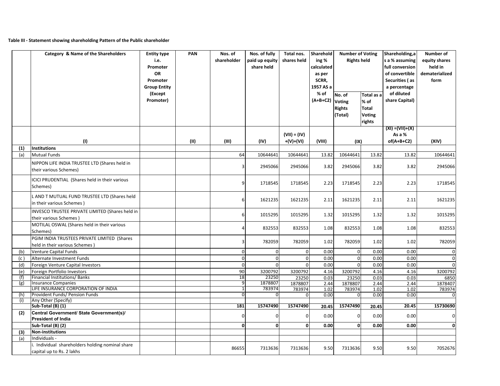## **Table III ‐ Statement showing shareholding Pattern of the Public shareholder**

|     | Category & Name of the Shareholders                                            | <b>Entity type</b><br>i.e.<br>Promoter<br>OR<br>Promoter<br><b>Group Entity</b><br>(Except<br>Promoter) | PAN  | Nos. of<br>shareholder | Nos. of fully<br>paid up equity<br>share held | Total nos.<br>shares held     | Sharehold<br>ing %<br>calculated<br>as per<br>SCRR,<br>1957 AS a<br>% of<br>$(A+B+C2)$ | <b>Number of Voting</b><br><b>Rights held</b><br>No. of<br><b>Voting</b><br><b>Rights</b><br>(Total) | Total as a<br>% of<br>Total<br><b>Voting</b><br>rights | Shareholding,a<br>s a % assuming<br>full conversion<br>of convertible<br>Securities (as<br>a percentage<br>of diluted<br>share Capital)<br>$(XI) = (VII)+(X)$ | Number of<br>equity shares<br>held in<br>dematerialized<br>form |
|-----|--------------------------------------------------------------------------------|---------------------------------------------------------------------------------------------------------|------|------------------------|-----------------------------------------------|-------------------------------|----------------------------------------------------------------------------------------|------------------------------------------------------------------------------------------------------|--------------------------------------------------------|---------------------------------------------------------------------------------------------------------------------------------------------------------------|-----------------------------------------------------------------|
|     | (1)                                                                            |                                                                                                         | (II) | (III)                  | (IV)                                          | $(VII) = (IV)$<br>$+(V)+(VI)$ | (VIII)                                                                                 |                                                                                                      |                                                        | As a %<br>$of(A+B+C2)$                                                                                                                                        | (XIV)                                                           |
| (1) | Institutions                                                                   |                                                                                                         |      |                        |                                               |                               |                                                                                        | (IX)                                                                                                 |                                                        |                                                                                                                                                               |                                                                 |
| (a) | <b>Mutual Funds</b>                                                            |                                                                                                         |      | 64                     | 10644641                                      | 10644641                      | 13.82                                                                                  | 10644641                                                                                             | 13.82                                                  | 13.82                                                                                                                                                         | 10644641                                                        |
|     | NIPPON LIFE INDIA TRUSTEE LTD (Shares held in<br>their various Schemes)        |                                                                                                         |      | $\overline{3}$         | 2945066                                       | 2945066                       | 3.82                                                                                   | 2945066                                                                                              | 3.82                                                   | 3.82                                                                                                                                                          | 2945066                                                         |
|     | ICICI PRUDENTIAL (Shares held in their various<br>Schemes)                     |                                                                                                         |      | 9                      | 1718545                                       | 1718545                       | 2.23                                                                                   | 1718545                                                                                              | 2.23                                                   | 2.23                                                                                                                                                          | 1718545                                                         |
|     | L AND T MUTUAL FUND TRUSTEE LTD (Shares held<br>in their various Schemes)      |                                                                                                         |      | 6                      | 1621235                                       | 1621235                       | 2.11                                                                                   | 1621235                                                                                              | 2.11                                                   | 2.11                                                                                                                                                          | 1621235                                                         |
|     | INVESCO TRUSTEE PRIVATE LIMITED (Shares held in<br>their various Schemes)      |                                                                                                         |      | 6                      | 1015295                                       | 1015295                       | 1.32                                                                                   | 1015295                                                                                              | 1.32                                                   | 1.32                                                                                                                                                          | 1015295                                                         |
|     | MOTILAL OSWAL (Shares held in their various<br>Schemes)                        |                                                                                                         |      |                        | 832553                                        | 832553                        | 1.08                                                                                   | 832553                                                                                               | 1.08                                                   | 1.08                                                                                                                                                          | 832553                                                          |
|     | PGIM INDIA TRUSTEES PRIVATE LIMITED (Shares<br>held in their various Schemes ) |                                                                                                         |      | 3                      | 782059                                        | 782059                        | 1.02                                                                                   | 782059                                                                                               | 1.02                                                   | 1.02                                                                                                                                                          | 782059                                                          |
| (b) | <b>Venture Capital Funds</b>                                                   |                                                                                                         |      | 0                      | $\Omega$                                      | $\overline{0}$                | 0.00                                                                                   | $\mathbf 0$                                                                                          | 0.00                                                   | 0.00                                                                                                                                                          | $\pmb{0}$                                                       |
| (c) | Alternate Investment Funds                                                     |                                                                                                         |      | $\mathbf 0$            | $\overline{0}$                                | $\overline{0}$                | 0.00                                                                                   | $\mathbf 0$                                                                                          | 0.00                                                   | 0.00                                                                                                                                                          | $\mathbf 0$                                                     |
| (d) | Foreign Venture Capital Investors                                              |                                                                                                         |      | $\mathbf 0$            | $\Omega$                                      | $\Omega$                      | 0.00                                                                                   | $\mathbf 0$                                                                                          | 0.00                                                   | 0.00                                                                                                                                                          | $\mathbf 0$                                                     |
| (e) | Foreign Portfolio Investors                                                    |                                                                                                         |      | 90                     | 3200792                                       | 3200792                       | 4.16                                                                                   | 3200792                                                                                              | 4.16                                                   | 4.16                                                                                                                                                          | 3200792                                                         |
| (f) | Financial Institutions/ Banks                                                  |                                                                                                         |      | 18                     | 23250                                         | 23250                         | 0.03                                                                                   | 23250                                                                                                | 0.03                                                   | 0.03                                                                                                                                                          | 6850                                                            |
| (g) | <b>Insurance Companies</b><br>LIFE INSURANCE CORPORATION OF INDIA              |                                                                                                         |      | 9<br>$\mathbf{1}$      | 1878807<br>783974                             | 1878807<br>783974             | 2.44<br>1.02                                                                           | 1878807<br>783974                                                                                    | 2.44<br>1.02                                           | 2.44<br>1.02                                                                                                                                                  | 1878407<br>783974                                               |
| (h) | Provident Funds/ Pension Funds                                                 |                                                                                                         |      | 0                      | 0                                             | $\Omega$                      | 0.00                                                                                   | $\mathbf 0$                                                                                          | 0.00                                                   | 0.00                                                                                                                                                          | 0                                                               |
| (i) | Any Other (Specify)                                                            |                                                                                                         |      |                        |                                               |                               |                                                                                        |                                                                                                      |                                                        |                                                                                                                                                               |                                                                 |
|     | Sub-Total (B) (1)                                                              |                                                                                                         |      | 181                    | 15747490                                      | 15747490                      | 20.45                                                                                  | 15747490                                                                                             | 20.45                                                  | 20.45                                                                                                                                                         | 15730690                                                        |
| (2) | Central Government/ State Government(s)/<br><b>President of India</b>          |                                                                                                         |      | 0                      |                                               |                               | 0.00                                                                                   | 0                                                                                                    | 0.00                                                   | 0.00                                                                                                                                                          | 0                                                               |
|     | Sub-Total (B) (2)                                                              |                                                                                                         |      | 0                      | $\mathbf{0}$                                  | $\mathbf{0}$                  | 0.00                                                                                   | 0                                                                                                    | 0.00                                                   | 0.00                                                                                                                                                          | $\mathbf 0$                                                     |
| (3) | Non-institutions                                                               |                                                                                                         |      |                        |                                               |                               |                                                                                        |                                                                                                      |                                                        |                                                                                                                                                               |                                                                 |
| (a) | Individuals -                                                                  |                                                                                                         |      |                        |                                               |                               |                                                                                        |                                                                                                      |                                                        |                                                                                                                                                               |                                                                 |
|     | i. Individual shareholders holding nominal share<br>capital up to Rs. 2 lakhs  |                                                                                                         |      | 86655                  | 7313636                                       | 7313636                       | 9.50                                                                                   | 7313636                                                                                              | 9.50                                                   | 9.50                                                                                                                                                          | 7052676                                                         |